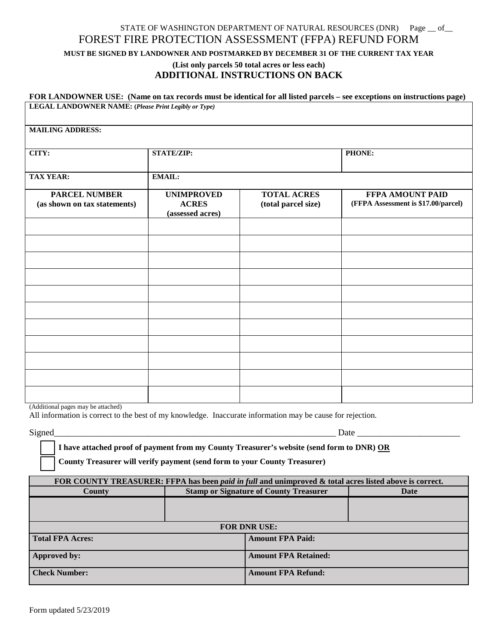## STATE OF WASHINGTON DEPARTMENT OF NATURAL RESOURCES (DNR) Page \_\_ of\_ FOREST FIRE PROTECTION ASSESSMENT (FFPA) REFUND FORM

**MUST BE SIGNED BY LANDOWNER AND POSTMARKED BY DECEMBER 31 OF THE CURRENT TAX YEAR**

## **(List only parcels 50 total acres or less each) ADDITIONAL INSTRUCTIONS ON BACK**

| FOR LANDOWNER USE: (Name on tax records must be identical for all listed parcels – see exceptions on instructions page)<br>LEGAL LANDOWNER NAME: (Please Print Legibly or Type)<br><b>MAILING ADDRESS:</b> |                                                       |                                           |                                                                |  |  |  |
|------------------------------------------------------------------------------------------------------------------------------------------------------------------------------------------------------------|-------------------------------------------------------|-------------------------------------------|----------------------------------------------------------------|--|--|--|
|                                                                                                                                                                                                            |                                                       |                                           |                                                                |  |  |  |
| <b>TAX YEAR:</b>                                                                                                                                                                                           | <b>EMAIL:</b>                                         |                                           |                                                                |  |  |  |
| <b>PARCEL NUMBER</b><br>(as shown on tax statements)                                                                                                                                                       | <b>UNIMPROVED</b><br><b>ACRES</b><br>(assessed acres) | <b>TOTAL ACRES</b><br>(total parcel size) | <b>FFPA AMOUNT PAID</b><br>(FFPA Assessment is \$17.00/parcel) |  |  |  |
|                                                                                                                                                                                                            |                                                       |                                           |                                                                |  |  |  |
|                                                                                                                                                                                                            |                                                       |                                           |                                                                |  |  |  |
|                                                                                                                                                                                                            |                                                       |                                           |                                                                |  |  |  |
|                                                                                                                                                                                                            |                                                       |                                           |                                                                |  |  |  |
|                                                                                                                                                                                                            |                                                       |                                           |                                                                |  |  |  |
|                                                                                                                                                                                                            |                                                       |                                           |                                                                |  |  |  |
|                                                                                                                                                                                                            |                                                       |                                           |                                                                |  |  |  |
|                                                                                                                                                                                                            |                                                       |                                           |                                                                |  |  |  |
|                                                                                                                                                                                                            |                                                       |                                           |                                                                |  |  |  |

(Additional pages may be attached)

All information is correct to the best of my knowledge. Inaccurate information may be cause for rejection.

 $Signed$   $\Box$ 

**I have attached proof of payment from my County Treasurer's website (send form to DNR) OR**

**County Treasurer will verify payment (send form to your County Treasurer)**

| FOR COUNTY TREASURER: FFPA has been <i>paid in full</i> and unimproved & total acres listed above is correct. |  |                                               |      |  |  |
|---------------------------------------------------------------------------------------------------------------|--|-----------------------------------------------|------|--|--|
| County                                                                                                        |  | <b>Stamp or Signature of County Treasurer</b> | Date |  |  |
|                                                                                                               |  |                                               |      |  |  |
|                                                                                                               |  |                                               |      |  |  |
| <b>FOR DNR USE:</b>                                                                                           |  |                                               |      |  |  |
| <b>Total FPA Acres:</b>                                                                                       |  | <b>Amount FPA Paid:</b>                       |      |  |  |
| Approved by:                                                                                                  |  | <b>Amount FPA Retained:</b>                   |      |  |  |
| <b>Check Number:</b>                                                                                          |  | <b>Amount FPA Refund:</b>                     |      |  |  |